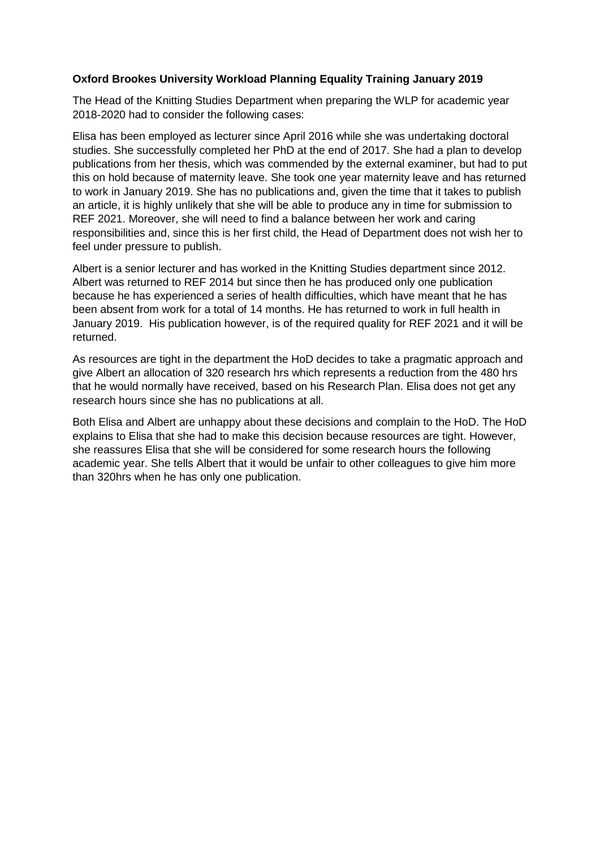## **Oxford Brookes University Workload Planning Equality Training January 2019**

The Head of the Knitting Studies Department when preparing the WLP for academic year 2018-2020 had to consider the following cases:

Elisa has been employed as lecturer since April 2016 while she was undertaking doctoral studies. She successfully completed her PhD at the end of 2017. She had a plan to develop publications from her thesis, which was commended by the external examiner, but had to put this on hold because of maternity leave. She took one year maternity leave and has returned to work in January 2019. She has no publications and, given the time that it takes to publish an article, it is highly unlikely that she will be able to produce any in time for submission to REF 2021. Moreover, she will need to find a balance between her work and caring responsibilities and, since this is her first child, the Head of Department does not wish her to feel under pressure to publish.

Albert is a senior lecturer and has worked in the Knitting Studies department since 2012. Albert was returned to REF 2014 but since then he has produced only one publication because he has experienced a series of health difficulties, which have meant that he has been absent from work for a total of 14 months. He has returned to work in full health in January 2019. His publication however, is of the required quality for REF 2021 and it will be returned.

As resources are tight in the department the HoD decides to take a pragmatic approach and give Albert an allocation of 320 research hrs which represents a reduction from the 480 hrs that he would normally have received, based on his Research Plan. Elisa does not get any research hours since she has no publications at all.

Both Elisa and Albert are unhappy about these decisions and complain to the HoD. The HoD explains to Elisa that she had to make this decision because resources are tight. However, she reassures Elisa that she will be considered for some research hours the following academic year. She tells Albert that it would be unfair to other colleagues to give him more than 320hrs when he has only one publication.